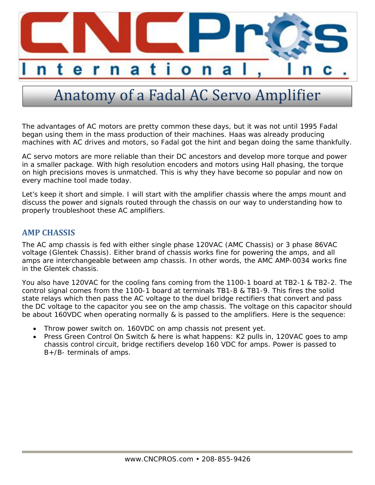

# Anatomy of a Fadal AC Servo Amplifier

The advantages of AC motors are pretty common these days, but it was not until 1995 Fadal began using them in the mass production of their machines. Haas was already producing machines with AC drives and motors, so Fadal got the hint and began doing the same thankfully.

AC servo motors are more reliable than their DC ancestors and develop more torque and power in a smaller package. With high resolution encoders and motors using Hall phasing, the torque on high precisions moves is unmatched. This is why they have become so popular and now on every machine tool made today.

Let's keep it short and simple. I will start with the amplifier chassis where the amps mount and discuss the power and signals routed through the chassis on our way to understanding how to properly troubleshoot these AC amplifiers.

### **AMP CHASSIS**

The AC amp chassis is fed with either single phase 120VAC (AMC Chassis) or 3 phase 86VAC voltage (Glentek Chassis). Either brand of chassis works fine for powering the amps, and all amps are interchangeable between amp chassis. In other words, the AMC AMP-0034 works fine in the Glentek chassis.

You also have 120VAC for the cooling fans coming from the 1100-1 board at TB2-1 & TB2-2. The control signal comes from the 1100-1 board at terminals TB1-8 & TB1-9. This fires the solid state relays which then pass the AC voltage to the duel bridge rectifiers that convert and pass the DC voltage to the capacitor you see on the amp chassis. The voltage on this capacitor should be about 160VDC when operating normally & is passed to the amplifiers. Here is the sequence:

- Throw power switch on. 160VDC on amp chassis not present yet.
- Press Green Control On Switch & here is what happens: K2 pulls in, 120VAC goes to amp chassis control circuit, bridge rectifiers develop 160 VDC for amps. Power is passed to B+/B- terminals of amps.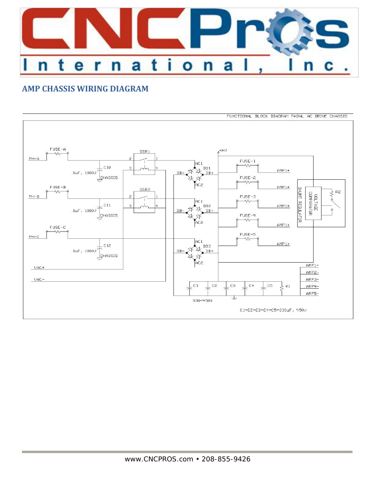

# **AMP CHASSIS WIRING DIAGRAM**

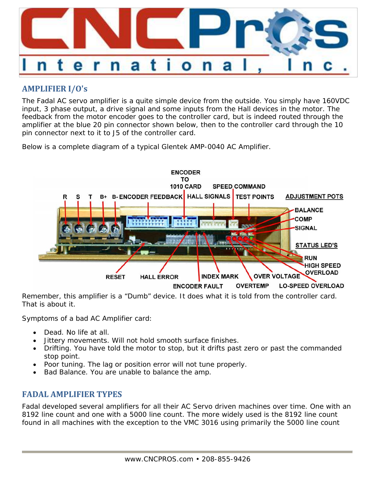

# **AMPLIFIER I/O's**

The Fadal AC servo amplifier is a quite simple device from the outside. You simply have 160VDC input, 3 phase output, a drive signal and some inputs from the Hall devices in the motor. The feedback from the motor encoder goes to the controller card, but is indeed routed through the amplifier at the blue 20 pin connector shown below, then to the controller card through the 10 pin connector next to it to J5 of the controller card.

Below is a complete diagram of a typical Glentek AMP-0040 AC Amplifier.



Remember, this amplifier is a "Dumb" device. It does what it is told from the controller card. That is about it.

Symptoms of a bad AC Amplifier card:

- Dead. No life at all.
- Jittery movements. Will not hold smooth surface finishes.
- Drifting. You have told the motor to stop, but it drifts past zero or past the commanded stop point.
- Poor tuning. The lag or position error will not tune properly.
- Bad Balance. You are unable to balance the amp.

## **FADAL AMPLIFIER TYPES**

Fadal developed several amplifiers for all their AC Servo driven machines over time. One with an 8192 line count and one with a 5000 line count. The more widely used is the 8192 line count found in all machines with the exception to the VMC 3016 using primarily the 5000 line count